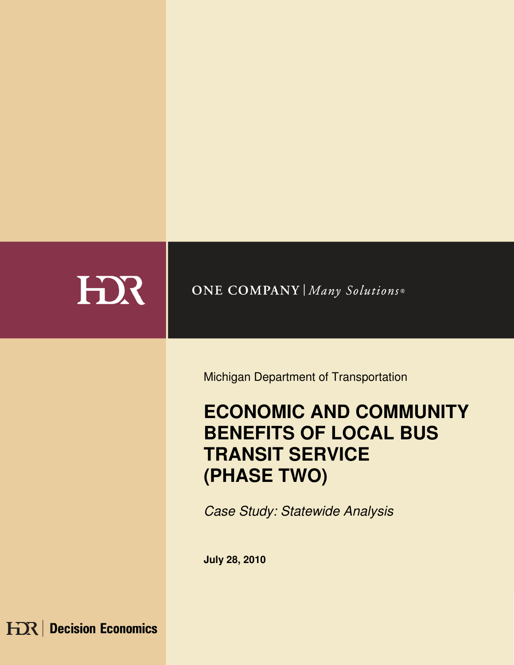

## **ONE COMPANY | Many Solutions®**

Michigan Department of Transportation

# **ECONOMIC AND COMMUNITY BENEFITS OF LOCAL BUS TRANSIT SERVICE (PHASE TWO)**

Case Study: Statewide Analysis

**July 28, 2010** 

**HDR** Decision Economics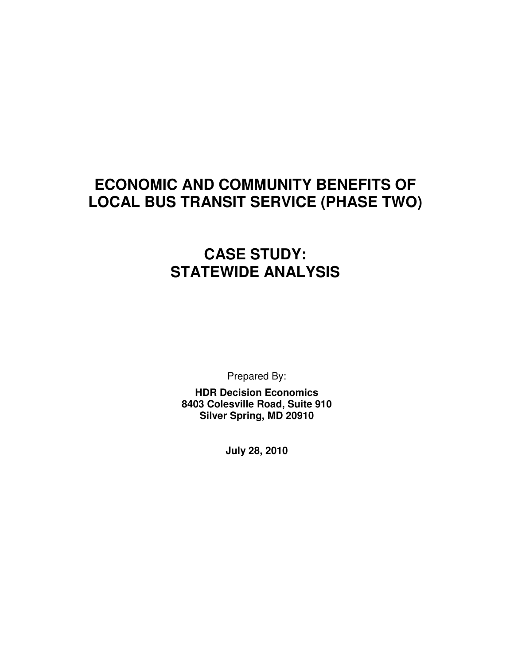## **ECONOMIC AND COMMUNITY BENEFITS OF LOCAL BUS TRANSIT SERVICE (PHASE TWO)**

## **CASE STUDY: STATEWIDE ANALYSIS**

Prepared By:

**HDR Decision Economics 8403 Colesville Road, Suite 910 Silver Spring, MD 20910** 

**July 28, 2010**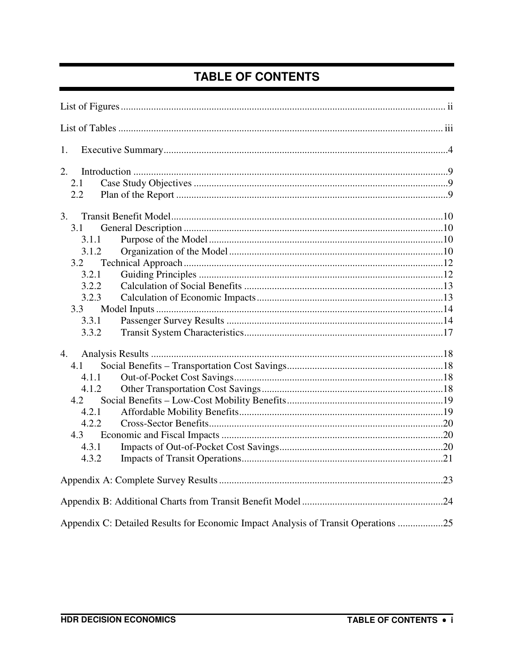## **TABLE OF CONTENTS**

| 1.                                                                                 |  |
|------------------------------------------------------------------------------------|--|
| 2.                                                                                 |  |
| 2.1                                                                                |  |
| 2.2                                                                                |  |
| 3.                                                                                 |  |
| 3.1                                                                                |  |
| 3.1.1                                                                              |  |
| 3.1.2                                                                              |  |
| 3.2                                                                                |  |
| 3.2.1                                                                              |  |
| 3.2.2                                                                              |  |
| 3.2.3                                                                              |  |
| 3.3                                                                                |  |
| 3.3.1                                                                              |  |
| 3.3.2                                                                              |  |
|                                                                                    |  |
| 4.1                                                                                |  |
| 4.1.1                                                                              |  |
| 4.1.2                                                                              |  |
| 4.2                                                                                |  |
| 4.2.1                                                                              |  |
| 4.2.2                                                                              |  |
|                                                                                    |  |
| 4.3.1                                                                              |  |
| 4.3.2                                                                              |  |
|                                                                                    |  |
|                                                                                    |  |
| Appendix C: Detailed Results for Economic Impact Analysis of Transit Operations 25 |  |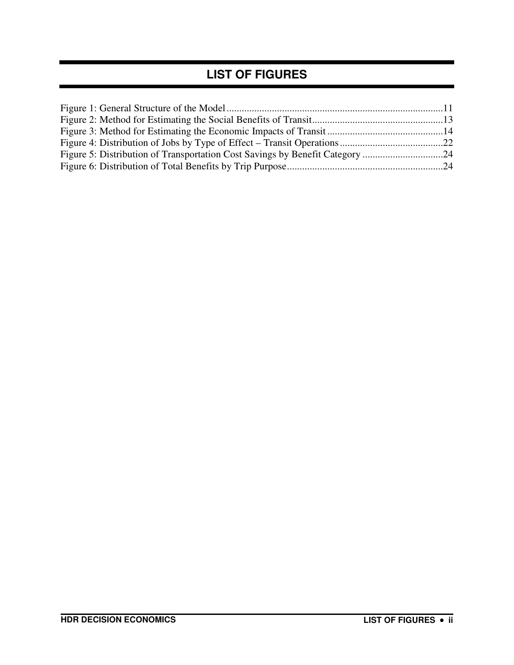### **LIST OF FIGURES**

| Figure 5: Distribution of Transportation Cost Savings by Benefit Category 24 |  |
|------------------------------------------------------------------------------|--|
|                                                                              |  |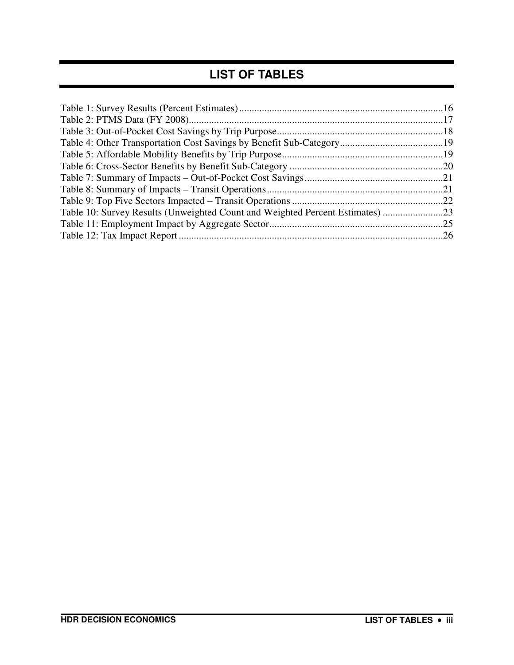### **LIST OF TABLES**

| Table 10: Survey Results (Unweighted Count and Weighted Percent Estimates) 23 |  |
|-------------------------------------------------------------------------------|--|
|                                                                               |  |
|                                                                               |  |
|                                                                               |  |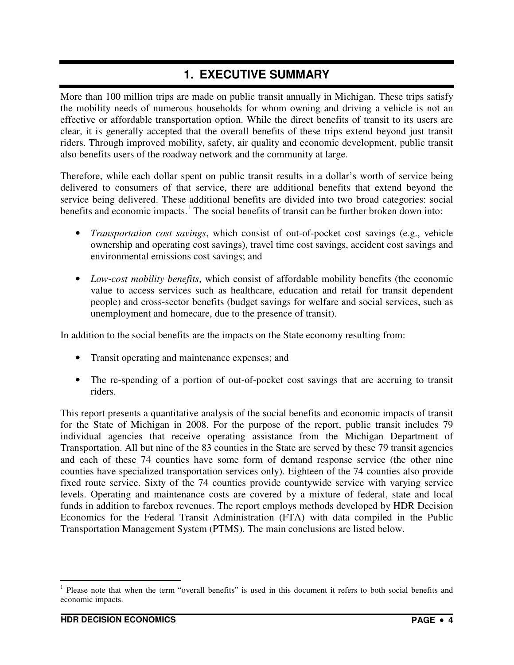### **1. EXECUTIVE SUMMARY**

More than 100 million trips are made on public transit annually in Michigan. These trips satisfy the mobility needs of numerous households for whom owning and driving a vehicle is not an effective or affordable transportation option. While the direct benefits of transit to its users are clear, it is generally accepted that the overall benefits of these trips extend beyond just transit riders. Through improved mobility, safety, air quality and economic development, public transit also benefits users of the roadway network and the community at large.

Therefore, while each dollar spent on public transit results in a dollar's worth of service being delivered to consumers of that service, there are additional benefits that extend beyond the service being delivered. These additional benefits are divided into two broad categories: social benefits and economic impacts.<sup>1</sup> The social benefits of transit can be further broken down into:

- *Transportation cost savings*, which consist of out-of-pocket cost savings (e.g., vehicle ownership and operating cost savings), travel time cost savings, accident cost savings and environmental emissions cost savings; and
- *Low-cost mobility benefits*, which consist of affordable mobility benefits (the economic value to access services such as healthcare, education and retail for transit dependent people) and cross-sector benefits (budget savings for welfare and social services, such as unemployment and homecare, due to the presence of transit).

In addition to the social benefits are the impacts on the State economy resulting from:

- Transit operating and maintenance expenses; and
- The re-spending of a portion of out-of-pocket cost savings that are accruing to transit riders.

This report presents a quantitative analysis of the social benefits and economic impacts of transit for the State of Michigan in 2008. For the purpose of the report, public transit includes 79 individual agencies that receive operating assistance from the Michigan Department of Transportation. All but nine of the 83 counties in the State are served by these 79 transit agencies and each of these 74 counties have some form of demand response service (the other nine counties have specialized transportation services only). Eighteen of the 74 counties also provide fixed route service. Sixty of the 74 counties provide countywide service with varying service levels. Operating and maintenance costs are covered by a mixture of federal, state and local funds in addition to farebox revenues. The report employs methods developed by HDR Decision Economics for the Federal Transit Administration (FTA) with data compiled in the Public Transportation Management System (PTMS). The main conclusions are listed below.

<sup>&</sup>lt;sup>1</sup> Please note that when the term "overall benefits" is used in this document it refers to both social benefits and economic impacts.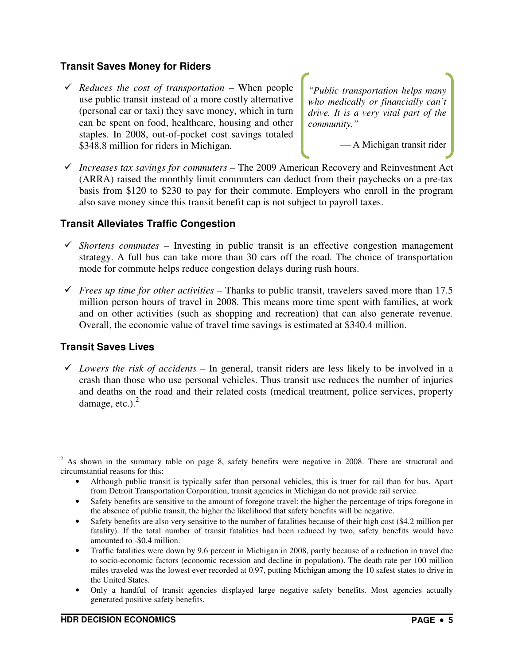#### **Transit Saves Money for Riders**

 *Reduces the cost of transportation* – When people use public transit instead of a more costly alternative (personal car or taxi) they save money, which in turn can be spent on food, healthcare, housing and other staples. In 2008, out-of-pocket cost savings totaled \$348.8 million for riders in Michigan.

*"Public transportation helps many who medically or financially can't drive. It is a very vital part of the community."*

A Michigan transit rider

 *Increases tax savings for commuters* – The 2009 American Recovery and Reinvestment Act (ARRA) raised the monthly limit commuters can deduct from their paychecks on a pre-tax basis from \$120 to \$230 to pay for their commute. Employers who enroll in the program also save money since this transit benefit cap is not subject to payroll taxes.

#### **Transit Alleviates Traffic Congestion**

- $\checkmark$  *Shortens commutes* Investing in public transit is an effective congestion management strategy. A full bus can take more than 30 cars off the road. The choice of transportation mode for commute helps reduce congestion delays during rush hours.
- *Frees up time for other activities* Thanks to public transit, travelers saved more than 17.5 million person hours of travel in 2008. This means more time spent with families, at work and on other activities (such as shopping and recreation) that can also generate revenue. Overall, the economic value of travel time savings is estimated at \$340.4 million.

#### **Transit Saves Lives**

 $\checkmark$  Lowers the risk of accidents – In general, transit riders are less likely to be involved in a crash than those who use personal vehicles. Thus transit use reduces the number of injuries and deaths on the road and their related costs (medical treatment, police services, property damage, etc.). $<sup>2</sup>$ </sup>

 $\overline{a}$  $2^2$  As shown in the summary table on page 8, safety benefits were negative in 2008. There are structural and circumstantial reasons for this:

<sup>•</sup> Although public transit is typically safer than personal vehicles, this is truer for rail than for bus. Apart from Detroit Transportation Corporation, transit agencies in Michigan do not provide rail service.

<sup>•</sup> Safety benefits are sensitive to the amount of foregone travel: the higher the percentage of trips foregone in the absence of public transit, the higher the likelihood that safety benefits will be negative.

<sup>•</sup> Safety benefits are also very sensitive to the number of fatalities because of their high cost (\$4.2 million per fatality). If the total number of transit fatalities had been reduced by two, safety benefits would have amounted to -\$0.4 million.

<sup>•</sup> Traffic fatalities were down by 9.6 percent in Michigan in 2008, partly because of a reduction in travel due to socio-economic factors (economic recession and decline in population). The death rate per 100 million miles traveled was the lowest ever recorded at 0.97, putting Michigan among the 10 safest states to drive in the United States.

<sup>•</sup> Only a handful of transit agencies displayed large negative safety benefits. Most agencies actually generated positive safety benefits.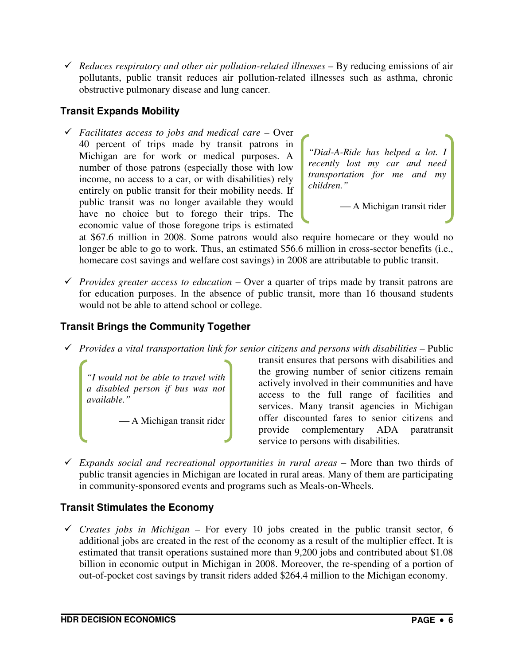*Reduces respiratory and other air pollution-related illnesses* – By reducing emissions of air pollutants, public transit reduces air pollution-related illnesses such as asthma, chronic obstructive pulmonary disease and lung cancer.

#### **Transit Expands Mobility**

 *Facilitates access to jobs and medical care* – Over 40 percent of trips made by transit patrons in Michigan are for work or medical purposes. A number of those patrons (especially those with low income, no access to a car, or with disabilities) rely entirely on public transit for their mobility needs. If public transit was no longer available they would have no choice but to forego their trips. The economic value of those foregone trips is estimated

*"Dial-A-Ride has helped a lot. I recently lost my car and need transportation for me and my children."*

A Michigan transit rider

at \$67.6 million in 2008. Some patrons would also require homecare or they would no longer be able to go to work. Thus, an estimated \$56.6 million in cross-sector benefits (i.e., homecare cost savings and welfare cost savings) in 2008 are attributable to public transit.

*Provides greater access to education* – Over a quarter of trips made by transit patrons are for education purposes. In the absence of public transit, more than 16 thousand students would not be able to attend school or college.

#### **Transit Brings the Community Together**

*Provides a vital transportation link for senior citizens and persons with disabilities* – Public

*"I would not be able to travel with a disabled person if bus was not available."*

A Michigan transit rider

transit ensures that persons with disabilities and the growing number of senior citizens remain actively involved in their communities and have access to the full range of facilities and services. Many transit agencies in Michigan offer discounted fares to senior citizens and provide complementary ADA paratransit service to persons with disabilities.

 *Expands social and recreational opportunities in rural areas* – More than two thirds of public transit agencies in Michigan are located in rural areas. Many of them are participating in community-sponsored events and programs such as Meals-on-Wheels.

#### **Transit Stimulates the Economy**

 $\checkmark$  Creates jobs in Michigan – For every 10 jobs created in the public transit sector, 6 additional jobs are created in the rest of the economy as a result of the multiplier effect. It is estimated that transit operations sustained more than 9,200 jobs and contributed about \$1.08 billion in economic output in Michigan in 2008. Moreover, the re-spending of a portion of out-of-pocket cost savings by transit riders added \$264.4 million to the Michigan economy.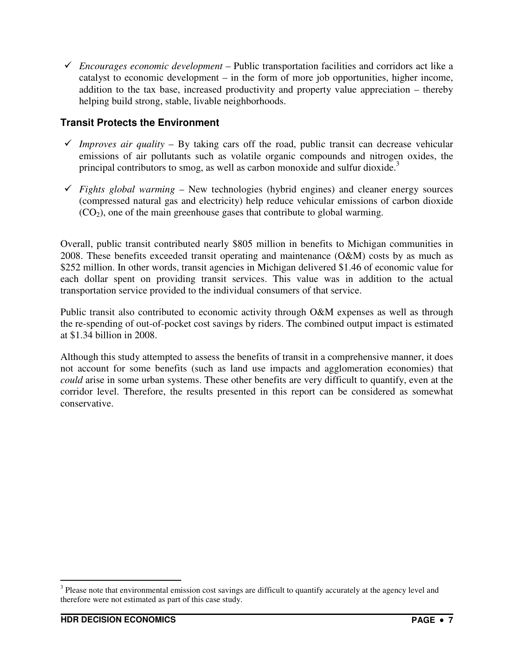*Encourages economic development* – Public transportation facilities and corridors act like a catalyst to economic development – in the form of more job opportunities, higher income, addition to the tax base, increased productivity and property value appreciation – thereby helping build strong, stable, livable neighborhoods.

#### **Transit Protects the Environment**

- *Improves air quality* By taking cars off the road, public transit can decrease vehicular emissions of air pollutants such as volatile organic compounds and nitrogen oxides, the principal contributors to smog, as well as carbon monoxide and sulfur dioxide.<sup>3</sup>
- $\checkmark$  Fights global warming New technologies (hybrid engines) and cleaner energy sources (compressed natural gas and electricity) help reduce vehicular emissions of carbon dioxide  $(CO<sub>2</sub>)$ , one of the main greenhouse gases that contribute to global warming.

Overall, public transit contributed nearly \$805 million in benefits to Michigan communities in 2008. These benefits exceeded transit operating and maintenance (O&M) costs by as much as \$252 million. In other words, transit agencies in Michigan delivered \$1.46 of economic value for each dollar spent on providing transit services. This value was in addition to the actual transportation service provided to the individual consumers of that service.

Public transit also contributed to economic activity through O&M expenses as well as through the re-spending of out-of-pocket cost savings by riders. The combined output impact is estimated at \$1.34 billion in 2008.

Although this study attempted to assess the benefits of transit in a comprehensive manner, it does not account for some benefits (such as land use impacts and agglomeration economies) that *could* arise in some urban systems. These other benefits are very difficult to quantify, even at the corridor level. Therefore, the results presented in this report can be considered as somewhat conservative.

<sup>&</sup>lt;sup>3</sup> Please note that environmental emission cost savings are difficult to quantify accurately at the agency level and therefore were not estimated as part of this case study.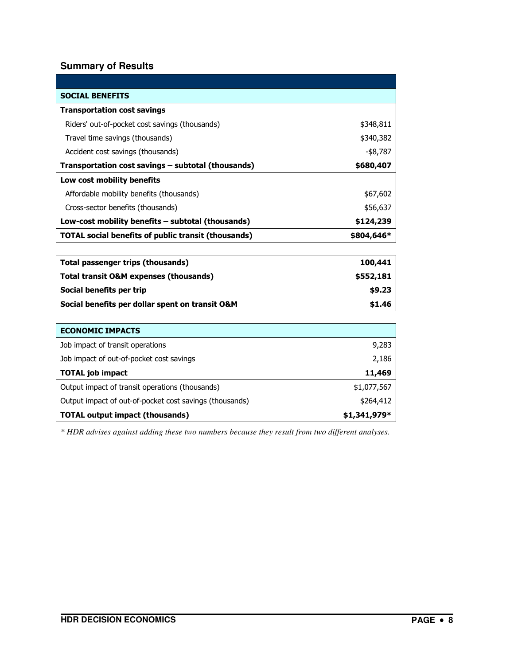#### **Summary of Results**

| <b>SOCIAL BENEFITS</b>                                     |             |
|------------------------------------------------------------|-------------|
| <b>Transportation cost savings</b>                         |             |
| Riders' out-of-pocket cost savings (thousands)             | \$348,811   |
| Travel time savings (thousands)                            | \$340,382   |
| Accident cost savings (thousands)                          | $-$ \$8,787 |
| Transportation cost savings - subtotal (thousands)         | \$680,407   |
| Low cost mobility benefits                                 |             |
| Affordable mobility benefits (thousands)                   | \$67,602    |
| Cross-sector benefits (thousands)                          | \$56,637    |
| Low-cost mobility benefits - subtotal (thousands)          | \$124,239   |
| <b>TOTAL social benefits of public transit (thousands)</b> | \$804,646*  |
|                                                            |             |
| <b>Total passenger trips (thousands)</b>                   | 100,441     |
| <b>Total transit O&amp;M expenses (thousands)</b>          | \$552,181   |
| Social benefits per trip                                   | \$9.23      |
| Social benefits per dollar spent on transit O&M            | \$1.46      |
|                                                            |             |
| <b>ECONOMIC IMPACTS</b>                                    |             |
| Job impact of transit operations                           | 9,283       |
| Job impact of out-of-pocket cost savings                   | 2,186       |
| <b>TOTAL job impact</b>                                    | 11,469      |
| Output impact of transit operations (thousands)            | \$1,077,567 |
| Output impact of out-of-pocket cost savings (thousands)    | \$264,412   |

TOTAL output impact (thousands)  $$1,341,979*$ *\* HDR advises against adding these two numbers because they result from two different analyses.*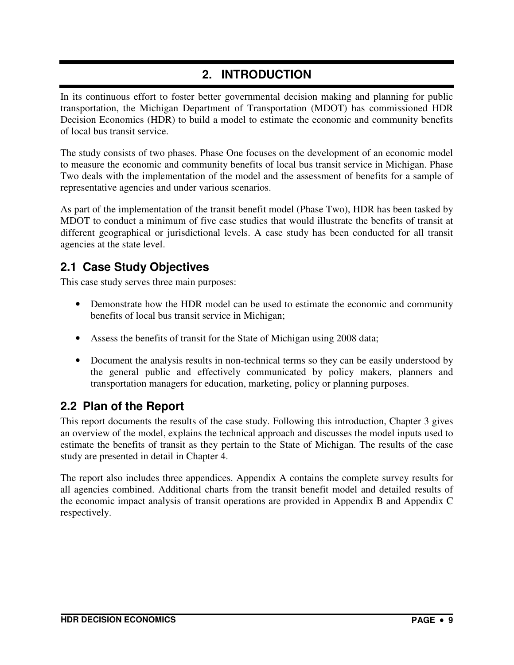### **2. INTRODUCTION**

In its continuous effort to foster better governmental decision making and planning for public transportation, the Michigan Department of Transportation (MDOT) has commissioned HDR Decision Economics (HDR) to build a model to estimate the economic and community benefits of local bus transit service.

The study consists of two phases. Phase One focuses on the development of an economic model to measure the economic and community benefits of local bus transit service in Michigan. Phase Two deals with the implementation of the model and the assessment of benefits for a sample of representative agencies and under various scenarios.

As part of the implementation of the transit benefit model (Phase Two), HDR has been tasked by MDOT to conduct a minimum of five case studies that would illustrate the benefits of transit at different geographical or jurisdictional levels. A case study has been conducted for all transit agencies at the state level.

### **2.1 Case Study Objectives**

This case study serves three main purposes:

- Demonstrate how the HDR model can be used to estimate the economic and community benefits of local bus transit service in Michigan;
- Assess the benefits of transit for the State of Michigan using 2008 data;
- Document the analysis results in non-technical terms so they can be easily understood by the general public and effectively communicated by policy makers, planners and transportation managers for education, marketing, policy or planning purposes.

### **2.2 Plan of the Report**

This report documents the results of the case study. Following this introduction, Chapter 3 gives an overview of the model, explains the technical approach and discusses the model inputs used to estimate the benefits of transit as they pertain to the State of Michigan. The results of the case study are presented in detail in Chapter 4.

The report also includes three appendices. Appendix A contains the complete survey results for all agencies combined. Additional charts from the transit benefit model and detailed results of the economic impact analysis of transit operations are provided in Appendix B and Appendix C respectively.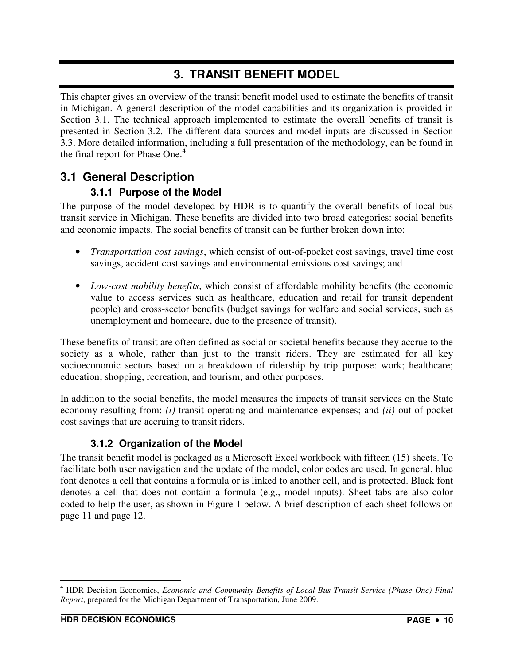### **3. TRANSIT BENEFIT MODEL**

This chapter gives an overview of the transit benefit model used to estimate the benefits of transit in Michigan. A general description of the model capabilities and its organization is provided in Section 3.1. The technical approach implemented to estimate the overall benefits of transit is presented in Section 3.2. The different data sources and model inputs are discussed in Section 3.3. More detailed information, including a full presentation of the methodology, can be found in the final report for Phase One.<sup>4</sup>

### **3.1 General Description**

### **3.1.1 Purpose of the Model**

The purpose of the model developed by HDR is to quantify the overall benefits of local bus transit service in Michigan. These benefits are divided into two broad categories: social benefits and economic impacts. The social benefits of transit can be further broken down into:

- *Transportation cost savings*, which consist of out-of-pocket cost savings, travel time cost savings, accident cost savings and environmental emissions cost savings; and
- *Low-cost mobility benefits*, which consist of affordable mobility benefits (the economic value to access services such as healthcare, education and retail for transit dependent people) and cross-sector benefits (budget savings for welfare and social services, such as unemployment and homecare, due to the presence of transit).

These benefits of transit are often defined as social or societal benefits because they accrue to the society as a whole, rather than just to the transit riders. They are estimated for all key socioeconomic sectors based on a breakdown of ridership by trip purpose: work; healthcare; education; shopping, recreation, and tourism; and other purposes.

In addition to the social benefits, the model measures the impacts of transit services on the State economy resulting from: *(i)* transit operating and maintenance expenses; and *(ii)* out-of-pocket cost savings that are accruing to transit riders.

### **3.1.2 Organization of the Model**

The transit benefit model is packaged as a Microsoft Excel workbook with fifteen (15) sheets. To facilitate both user navigation and the update of the model, color codes are used. In general, blue font denotes a cell that contains a formula or is linked to another cell, and is protected. Black font denotes a cell that does not contain a formula (e.g., model inputs). Sheet tabs are also color coded to help the user, as shown in Figure 1 below. A brief description of each sheet follows on page 11 and page 12.

 4 HDR Decision Economics, *Economic and Community Benefits of Local Bus Transit Service (Phase One) Final Report*, prepared for the Michigan Department of Transportation, June 2009.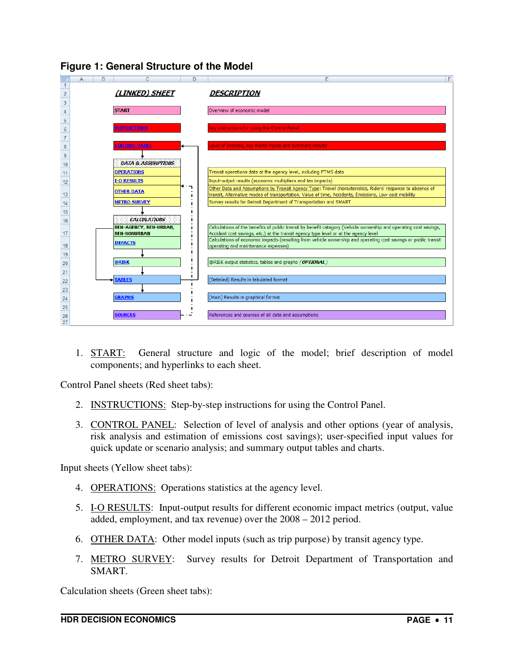



1. START: General structure and logic of the model; brief description of model components; and hyperlinks to each sheet.

Control Panel sheets (Red sheet tabs):

- 2. **INSTRUCTIONS:** Step-by-step instructions for using the Control Panel.
- 3. CONTROL PANEL: Selection of level of analysis and other options (year of analysis, risk analysis and estimation of emissions cost savings); user-specified input values for quick update or scenario analysis; and summary output tables and charts.

Input sheets (Yellow sheet tabs):

- 4. OPERATIONS: Operations statistics at the agency level.
- 5. I-O RESULTS: Input-output results for different economic impact metrics (output, value added, employment, and tax revenue) over the 2008 – 2012 period.
- 6. OTHER DATA: Other model inputs (such as trip purpose) by transit agency type.
- 7. METRO SURVEY: Survey results for Detroit Department of Transportation and SMART.

Calculation sheets (Green sheet tabs):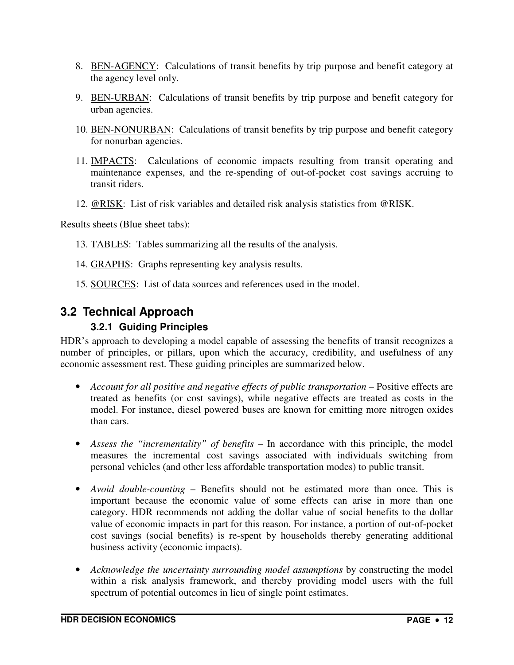- 8. BEN-AGENCY: Calculations of transit benefits by trip purpose and benefit category at the agency level only.
- 9. BEN-URBAN: Calculations of transit benefits by trip purpose and benefit category for urban agencies.
- 10. BEN-NONURBAN: Calculations of transit benefits by trip purpose and benefit category for nonurban agencies.
- 11. IMPACTS: Calculations of economic impacts resulting from transit operating and maintenance expenses, and the re-spending of out-of-pocket cost savings accruing to transit riders.
- 12. @RISK: List of risk variables and detailed risk analysis statistics from @RISK.

Results sheets (Blue sheet tabs):

- 13. TABLES: Tables summarizing all the results of the analysis.
- 14. GRAPHS: Graphs representing key analysis results.
- 15. SOURCES: List of data sources and references used in the model.

### **3.2 Technical Approach**

#### **3.2.1 Guiding Principles**

HDR's approach to developing a model capable of assessing the benefits of transit recognizes a number of principles, or pillars, upon which the accuracy, credibility, and usefulness of any economic assessment rest. These guiding principles are summarized below.

- *Account for all positive and negative effects of public transportation* Positive effects are treated as benefits (or cost savings), while negative effects are treated as costs in the model. For instance, diesel powered buses are known for emitting more nitrogen oxides than cars.
- *Assess the "incrementality" of benefits* In accordance with this principle, the model measures the incremental cost savings associated with individuals switching from personal vehicles (and other less affordable transportation modes) to public transit.
- *Avoid double-counting* Benefits should not be estimated more than once. This is important because the economic value of some effects can arise in more than one category. HDR recommends not adding the dollar value of social benefits to the dollar value of economic impacts in part for this reason. For instance, a portion of out-of-pocket cost savings (social benefits) is re-spent by households thereby generating additional business activity (economic impacts).
- *Acknowledge the uncertainty surrounding model assumptions* by constructing the model within a risk analysis framework, and thereby providing model users with the full spectrum of potential outcomes in lieu of single point estimates.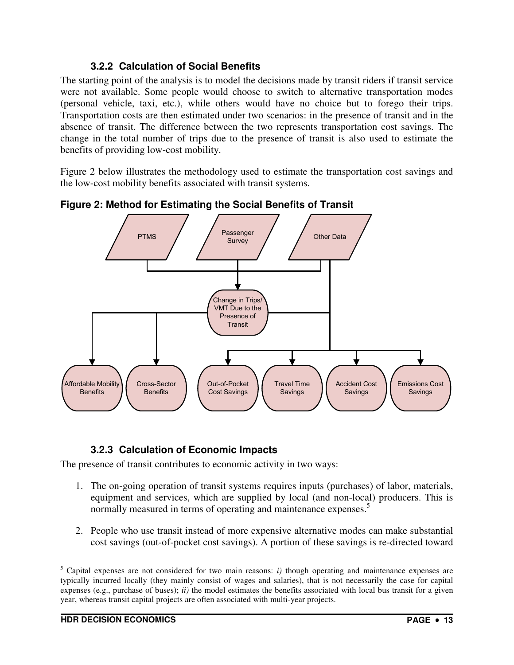#### **3.2.2 Calculation of Social Benefits**

The starting point of the analysis is to model the decisions made by transit riders if transit service were not available. Some people would choose to switch to alternative transportation modes (personal vehicle, taxi, etc.), while others would have no choice but to forego their trips. Transportation costs are then estimated under two scenarios: in the presence of transit and in the absence of transit. The difference between the two represents transportation cost savings. The change in the total number of trips due to the presence of transit is also used to estimate the benefits of providing low-cost mobility.

Figure 2 below illustrates the methodology used to estimate the transportation cost savings and the low-cost mobility benefits associated with transit systems.



**Figure 2: Method for Estimating the Social Benefits of Transit** 

### **3.2.3 Calculation of Economic Impacts**

The presence of transit contributes to economic activity in two ways:

- 1. The on-going operation of transit systems requires inputs (purchases) of labor, materials, equipment and services, which are supplied by local (and non-local) producers. This is normally measured in terms of operating and maintenance expenses.<sup>5</sup>
- 2. People who use transit instead of more expensive alternative modes can make substantial cost savings (out-of-pocket cost savings). A portion of these savings is re-directed toward

 $\overline{a}$ 

 $<sup>5</sup>$  Capital expenses are not considered for two main reasons: *i*) though operating and maintenance expenses are</sup> typically incurred locally (they mainly consist of wages and salaries), that is not necessarily the case for capital expenses (e.g., purchase of buses); *ii)* the model estimates the benefits associated with local bus transit for a given year, whereas transit capital projects are often associated with multi-year projects.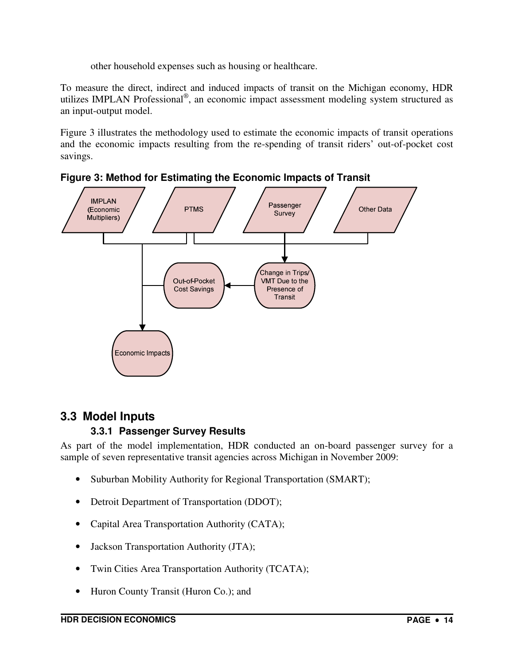other household expenses such as housing or healthcare.

To measure the direct, indirect and induced impacts of transit on the Michigan economy, HDR utilizes IMPLAN Professional® , an economic impact assessment modeling system structured as an input-output model.

Figure 3 illustrates the methodology used to estimate the economic impacts of transit operations and the economic impacts resulting from the re-spending of transit riders' out-of-pocket cost savings.



**Figure 3: Method for Estimating the Economic Impacts of Transit** 

### **3.3 Model Inputs**

### **3.3.1 Passenger Survey Results**

As part of the model implementation, HDR conducted an on-board passenger survey for a sample of seven representative transit agencies across Michigan in November 2009:

- Suburban Mobility Authority for Regional Transportation (SMART);
- Detroit Department of Transportation (DDOT);
- Capital Area Transportation Authority (CATA);
- Jackson Transportation Authority (JTA);
- Twin Cities Area Transportation Authority (TCATA);
- Huron County Transit (Huron Co.); and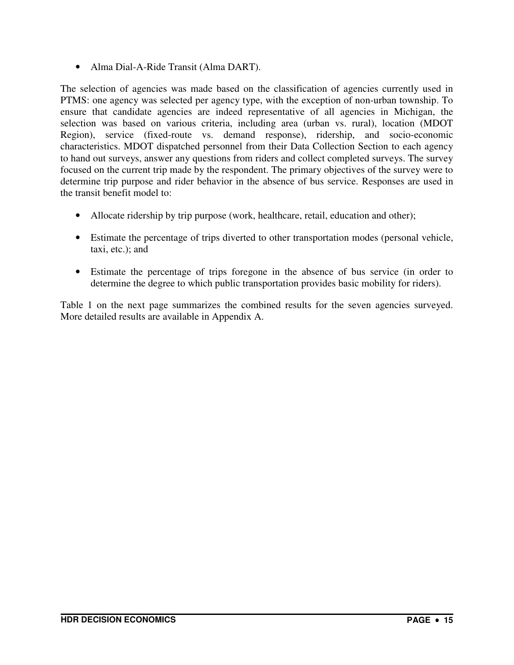• Alma Dial-A-Ride Transit (Alma DART).

The selection of agencies was made based on the classification of agencies currently used in PTMS: one agency was selected per agency type, with the exception of non-urban township. To ensure that candidate agencies are indeed representative of all agencies in Michigan, the selection was based on various criteria, including area (urban vs. rural), location (MDOT Region), service (fixed-route vs. demand response), ridership, and socio-economic characteristics. MDOT dispatched personnel from their Data Collection Section to each agency to hand out surveys, answer any questions from riders and collect completed surveys. The survey focused on the current trip made by the respondent. The primary objectives of the survey were to determine trip purpose and rider behavior in the absence of bus service. Responses are used in the transit benefit model to:

- Allocate ridership by trip purpose (work, healthcare, retail, education and other);
- Estimate the percentage of trips diverted to other transportation modes (personal vehicle, taxi, etc.); and
- Estimate the percentage of trips foregone in the absence of bus service (in order to determine the degree to which public transportation provides basic mobility for riders).

Table 1 on the next page summarizes the combined results for the seven agencies surveyed. More detailed results are available in Appendix A.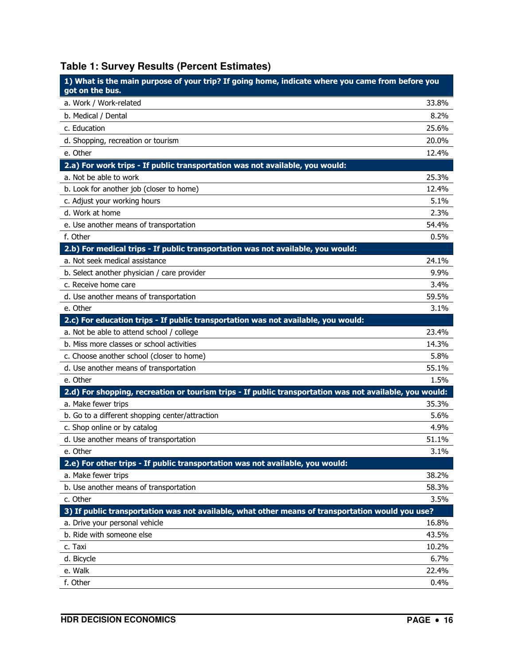## **Table 1: Survey Results (Percent Estimates)**

| 1) What is the main purpose of your trip? If going home, indicate where you came from before you<br>got on the bus. |               |
|---------------------------------------------------------------------------------------------------------------------|---------------|
| a. Work / Work-related                                                                                              | 33.8%         |
| b. Medical / Dental                                                                                                 | 8.2%          |
| c. Education                                                                                                        | 25.6%         |
| d. Shopping, recreation or tourism                                                                                  | 20.0%         |
| e. Other                                                                                                            | 12.4%         |
| 2.a) For work trips - If public transportation was not available, you would:                                        |               |
| a. Not be able to work                                                                                              | 25.3%         |
| b. Look for another job (closer to home)                                                                            | 12.4%         |
| c. Adjust your working hours                                                                                        | 5.1%          |
| d. Work at home                                                                                                     | 2.3%          |
| e. Use another means of transportation                                                                              | 54.4%         |
| f. Other                                                                                                            | 0.5%          |
| 2.b) For medical trips - If public transportation was not available, you would:                                     |               |
| a. Not seek medical assistance                                                                                      | 24.1%         |
| b. Select another physician / care provider                                                                         | 9.9%          |
| c. Receive home care                                                                                                | 3.4%          |
| d. Use another means of transportation                                                                              | 59.5%         |
| e. Other                                                                                                            | 3.1%          |
| 2.c) For education trips - If public transportation was not available, you would:                                   |               |
| a. Not be able to attend school / college                                                                           | 23.4%         |
| b. Miss more classes or school activities                                                                           | 14.3%         |
| c. Choose another school (closer to home)                                                                           | 5.8%          |
| d. Use another means of transportation                                                                              | 55.1%         |
| e. Other                                                                                                            | 1.5%          |
| 2.d) For shopping, recreation or tourism trips - If public transportation was not available, you would:             |               |
| a. Make fewer trips                                                                                                 | 35.3%         |
| b. Go to a different shopping center/attraction                                                                     | 5.6%          |
| c. Shop online or by catalog                                                                                        | 4.9%          |
| d. Use another means of transportation                                                                              | 51.1%         |
| e. Other                                                                                                            | 3.1%          |
| 2.e) For other trips - If public transportation was not available, you would:                                       | 38.2%         |
| a. Make fewer trips<br>b. Use another means of transportation                                                       |               |
| c. Other                                                                                                            | 58.3%<br>3.5% |
| 3) If public transportation was not available, what other means of transportation would you use?                    |               |
| a. Drive your personal vehicle                                                                                      | 16.8%         |
| b. Ride with someone else                                                                                           | 43.5%         |
| c. Taxi                                                                                                             | 10.2%         |
| d. Bicycle                                                                                                          | 6.7%          |
| e. Walk                                                                                                             | 22.4%         |
| f. Other                                                                                                            | 0.4%          |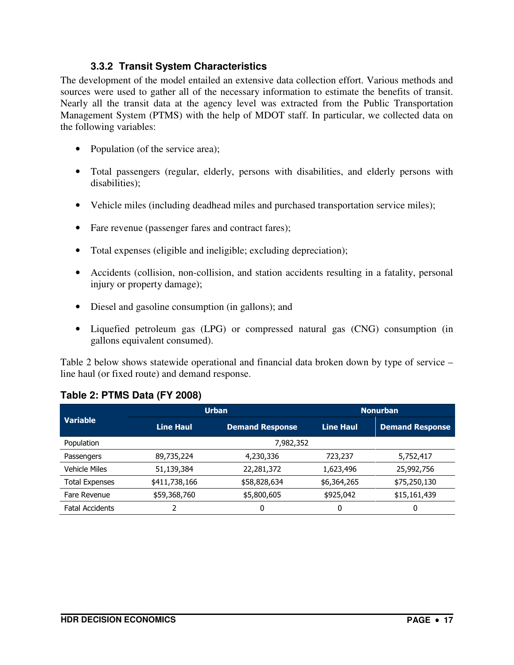#### **3.3.2 Transit System Characteristics**

The development of the model entailed an extensive data collection effort. Various methods and sources were used to gather all of the necessary information to estimate the benefits of transit. Nearly all the transit data at the agency level was extracted from the Public Transportation Management System (PTMS) with the help of MDOT staff. In particular, we collected data on the following variables:

- Population (of the service area);
- Total passengers (regular, elderly, persons with disabilities, and elderly persons with disabilities);
- Vehicle miles (including deadhead miles and purchased transportation service miles);
- Fare revenue (passenger fares and contract fares);
- Total expenses (eligible and ineligible; excluding depreciation);
- Accidents (collision, non-collision, and station accidents resulting in a fatality, personal injury or property damage);
- Diesel and gasoline consumption (in gallons); and
- Liquefied petroleum gas (LPG) or compressed natural gas (CNG) consumption (in gallons equivalent consumed).

Table 2 below shows statewide operational and financial data broken down by type of service – line haul (or fixed route) and demand response.

| <b>Variable</b>        |                  | <b>Urban</b>           | <b>Nonurban</b>  |                        |  |
|------------------------|------------------|------------------------|------------------|------------------------|--|
|                        | <b>Line Haul</b> | <b>Demand Response</b> | <b>Line Haul</b> | <b>Demand Response</b> |  |
| Population             |                  | 7,982,352              |                  |                        |  |
| Passengers             | 89,735,224       | 4,230,336              | 723,237          | 5,752,417              |  |
| <b>Vehicle Miles</b>   | 51,139,384       | 22,281,372             | 1,623,496        | 25,992,756             |  |
| <b>Total Expenses</b>  | \$411,738,166    | \$58,828,634           | \$6,364,265      | \$75,250,130           |  |
| Fare Revenue           | \$59,368,760     | \$5,800,605            | \$925,042        | \$15,161,439           |  |
| <b>Fatal Accidents</b> |                  | 0                      | 0                | 0                      |  |

#### **Table 2: PTMS Data (FY 2008)**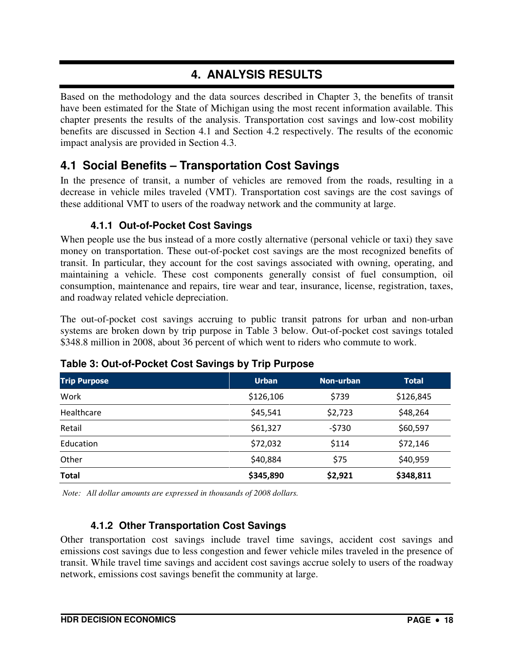### **4. ANALYSIS RESULTS**

Based on the methodology and the data sources described in Chapter 3, the benefits of transit have been estimated for the State of Michigan using the most recent information available. This chapter presents the results of the analysis. Transportation cost savings and low-cost mobility benefits are discussed in Section 4.1 and Section 4.2 respectively. The results of the economic impact analysis are provided in Section 4.3.

### **4.1 Social Benefits – Transportation Cost Savings**

In the presence of transit, a number of vehicles are removed from the roads, resulting in a decrease in vehicle miles traveled (VMT). Transportation cost savings are the cost savings of these additional VMT to users of the roadway network and the community at large.

### **4.1.1 Out-of-Pocket Cost Savings**

When people use the bus instead of a more costly alternative (personal vehicle or taxi) they save money on transportation. These out-of-pocket cost savings are the most recognized benefits of transit. In particular, they account for the cost savings associated with owning, operating, and maintaining a vehicle. These cost components generally consist of fuel consumption, oil consumption, maintenance and repairs, tire wear and tear, insurance, license, registration, taxes, and roadway related vehicle depreciation.

The out-of-pocket cost savings accruing to public transit patrons for urban and non-urban systems are broken down by trip purpose in Table 3 below. Out-of-pocket cost savings totaled \$348.8 million in 2008, about 36 percent of which went to riders who commute to work.

| <b>Trip Purpose</b> | <b>Urban</b> | Non-urban | <b>Total</b> |
|---------------------|--------------|-----------|--------------|
| Work                | \$126,106    | \$739     | \$126,845    |
| Healthcare          | \$45,541     | \$2,723   | \$48,264     |
| Retail              | \$61,327     | $-5730$   | \$60,597     |
| Education           | \$72,032     | \$114     | \$72,146     |
| Other               | \$40,884     | \$75      | \$40,959     |
| <b>Total</b>        | \$345,890    | \$2,921   | \$348,811    |

### **Table 3: Out-of-Pocket Cost Savings by Trip Purpose**

 *Note: All dollar amounts are expressed in thousands of 2008 dollars.* 

### **4.1.2 Other Transportation Cost Savings**

Other transportation cost savings include travel time savings, accident cost savings and emissions cost savings due to less congestion and fewer vehicle miles traveled in the presence of transit. While travel time savings and accident cost savings accrue solely to users of the roadway network, emissions cost savings benefit the community at large.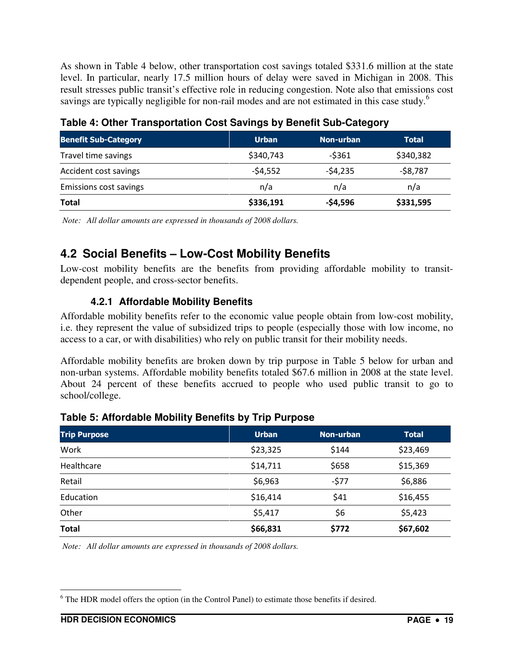As shown in Table 4 below, other transportation cost savings totaled \$331.6 million at the state level. In particular, nearly 17.5 million hours of delay were saved in Michigan in 2008. This result stresses public transit's effective role in reducing congestion. Note also that emissions cost savings are typically negligible for non-rail modes and are not estimated in this case study.<sup>6</sup>

| <b>Benefit Sub-Category</b> | <b>Urban</b> | Non-urban | <b>Total</b> |
|-----------------------------|--------------|-----------|--------------|
| Travel time savings         | \$340,743    | $-5361$   | \$340,382    |
| Accident cost savings       | $-54,552$    | $-54,235$ | $-58,787$    |
| Emissions cost savings      | n/a          | n/a       | n/a          |
| <b>Total</b>                | \$336,191    | $-$4,596$ | \$331,595    |

**Table 4: Other Transportation Cost Savings by Benefit Sub-Category** 

 *Note: All dollar amounts are expressed in thousands of 2008 dollars.* 

### **4.2 Social Benefits – Low-Cost Mobility Benefits**

Low-cost mobility benefits are the benefits from providing affordable mobility to transitdependent people, and cross-sector benefits.

### **4.2.1 Affordable Mobility Benefits**

Affordable mobility benefits refer to the economic value people obtain from low-cost mobility, i.e. they represent the value of subsidized trips to people (especially those with low income, no access to a car, or with disabilities) who rely on public transit for their mobility needs.

Affordable mobility benefits are broken down by trip purpose in Table 5 below for urban and non-urban systems. Affordable mobility benefits totaled \$67.6 million in 2008 at the state level. About 24 percent of these benefits accrued to people who used public transit to go to school/college.

| <b>Trip Purpose</b> | <b>Urban</b> | Non-urban | <b>Total</b> |
|---------------------|--------------|-----------|--------------|
| Work                | \$23,325     | \$144     | \$23,469     |
| Healthcare          | \$14,711     | \$658     | \$15,369     |
| Retail              | \$6,963      | $-577$    | \$6,886      |
| Education           | \$16,414     | \$41      | \$16,455     |
| Other               | \$5,417      | \$6       | \$5,423      |
| <b>Total</b>        | \$66,831     | \$772     | \$67,602     |

### **Table 5: Affordable Mobility Benefits by Trip Purpose**

 *Note: All dollar amounts are expressed in thousands of 2008 dollars.* 

 $\overline{a}$  $6$  The HDR model offers the option (in the Control Panel) to estimate those benefits if desired.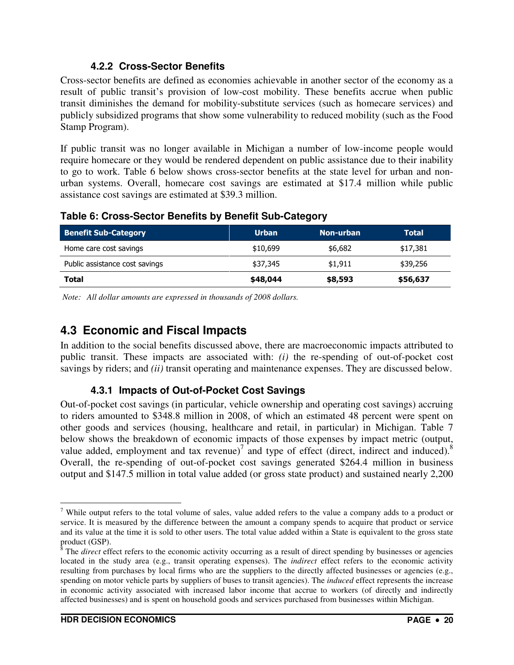#### **4.2.2 Cross-Sector Benefits**

Cross-sector benefits are defined as economies achievable in another sector of the economy as a result of public transit's provision of low-cost mobility. These benefits accrue when public transit diminishes the demand for mobility-substitute services (such as homecare services) and publicly subsidized programs that show some vulnerability to reduced mobility (such as the Food Stamp Program).

If public transit was no longer available in Michigan a number of low-income people would require homecare or they would be rendered dependent on public assistance due to their inability to go to work. Table 6 below shows cross-sector benefits at the state level for urban and nonurban systems. Overall, homecare cost savings are estimated at \$17.4 million while public assistance cost savings are estimated at \$39.3 million.

| <b>Benefit Sub-Category</b>    | <b>Urban</b> | Non-urban | Total    |
|--------------------------------|--------------|-----------|----------|
| Home care cost savings         | \$10,699     | \$6,682   | \$17,381 |
| Public assistance cost savings | \$37,345     | \$1.911   | \$39,256 |
| Total                          | \$48,044     | \$8,593   | \$56,637 |

**Table 6: Cross-Sector Benefits by Benefit Sub-Category** 

 *Note: All dollar amounts are expressed in thousands of 2008 dollars.* 

### **4.3 Economic and Fiscal Impacts**

In addition to the social benefits discussed above, there are macroeconomic impacts attributed to public transit. These impacts are associated with: *(i)* the re-spending of out-of-pocket cost savings by riders; and *(ii)* transit operating and maintenance expenses. They are discussed below.

#### **4.3.1 Impacts of Out-of-Pocket Cost Savings**

Out-of-pocket cost savings (in particular, vehicle ownership and operating cost savings) accruing to riders amounted to \$348.8 million in 2008, of which an estimated 48 percent were spent on other goods and services (housing, healthcare and retail, in particular) in Michigan. Table 7 below shows the breakdown of economic impacts of those expenses by impact metric (output, value added, employment and tax revenue) $\int$  and type of effect (direct, indirect and induced).<sup>8</sup> Overall, the re-spending of out-of-pocket cost savings generated \$264.4 million in business output and \$147.5 million in total value added (or gross state product) and sustained nearly 2,200

 $\overline{a}$ 

<sup>&</sup>lt;sup>7</sup> While output refers to the total volume of sales, value added refers to the value a company adds to a product or service. It is measured by the difference between the amount a company spends to acquire that product or service and its value at the time it is sold to other users. The total value added within a State is equivalent to the gross state

product (GSP).<br><sup>8</sup> The *direct* effect refers to the economic activity occurring as a result of direct spending by businesses or agencies located in the study area (e.g., transit operating expenses). The *indirect* effect refers to the economic activity resulting from purchases by local firms who are the suppliers to the directly affected businesses or agencies (e.g., spending on motor vehicle parts by suppliers of buses to transit agencies). The *induced* effect represents the increase in economic activity associated with increased labor income that accrue to workers (of directly and indirectly affected businesses) and is spent on household goods and services purchased from businesses within Michigan.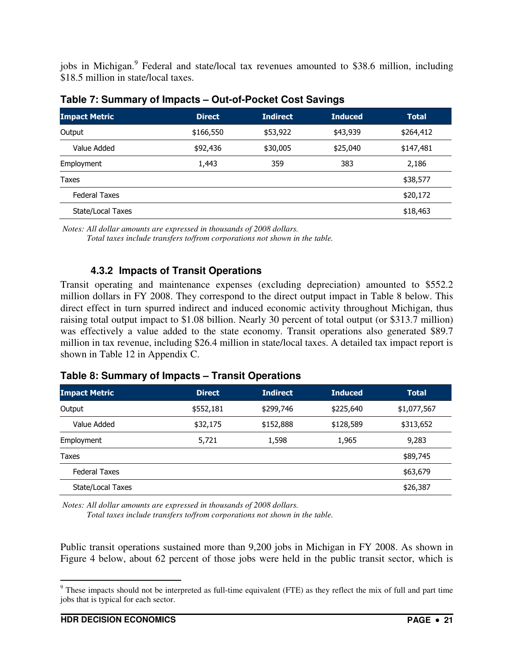jobs in Michigan.<sup>9</sup> Federal and state/local tax revenues amounted to \$38.6 million, including \$18.5 million in state/local taxes.

| <b>Impact Metric</b> | <b>Direct</b> | <b>Indirect</b> | <b>Induced</b> | <b>Total</b> |
|----------------------|---------------|-----------------|----------------|--------------|
| Output               | \$166,550     | \$53,922        | \$43,939       | \$264,412    |
| Value Added          | \$92,436      | \$30,005        | \$25,040       | \$147,481    |
| Employment           | 1,443         | 359             | 383            | 2,186        |
| Taxes                |               |                 |                | \$38,577     |
| <b>Federal Taxes</b> |               |                 |                | \$20,172     |
| State/Local Taxes    |               |                 |                | \$18,463     |

 *Notes: All dollar amounts are expressed in thousands of 2008 dollars.* 

 *Total taxes include transfers to/from corporations not shown in the table.* 

#### **4.3.2 Impacts of Transit Operations**

Transit operating and maintenance expenses (excluding depreciation) amounted to \$552.2 million dollars in FY 2008. They correspond to the direct output impact in Table 8 below. This direct effect in turn spurred indirect and induced economic activity throughout Michigan, thus raising total output impact to \$1.08 billion. Nearly 30 percent of total output (or \$313.7 million) was effectively a value added to the state economy. Transit operations also generated \$89.7 million in tax revenue, including \$26.4 million in state/local taxes. A detailed tax impact report is shown in Table 12 in Appendix C.

| Table 8: Summary of Impacts - Transit Operations |  |  |
|--------------------------------------------------|--|--|
|--------------------------------------------------|--|--|

| <b>Impact Metric</b> | <b>Direct</b> | <b>Indirect</b> | <b>Induced</b> | <b>Total</b> |
|----------------------|---------------|-----------------|----------------|--------------|
| Output               | \$552,181     | \$299,746       | \$225,640      | \$1,077,567  |
| Value Added          | \$32,175      | \$152,888       | \$128,589      | \$313,652    |
| Employment           | 5,721         | 1,598           | 1,965          | 9,283        |
| Taxes                |               |                 |                | \$89,745     |
| Federal Taxes        |               |                 |                | \$63,679     |
| State/Local Taxes    |               |                 |                | \$26,387     |
|                      |               |                 |                |              |

 *Notes: All dollar amounts are expressed in thousands of 2008 dollars.* 

 *Total taxes include transfers to/from corporations not shown in the table.* 

Public transit operations sustained more than 9,200 jobs in Michigan in FY 2008. As shown in Figure 4 below, about 62 percent of those jobs were held in the public transit sector, which is

<sup>&</sup>lt;sup>9</sup> These impacts should not be interpreted as full-time equivalent (FTE) as they reflect the mix of full and part time jobs that is typical for each sector.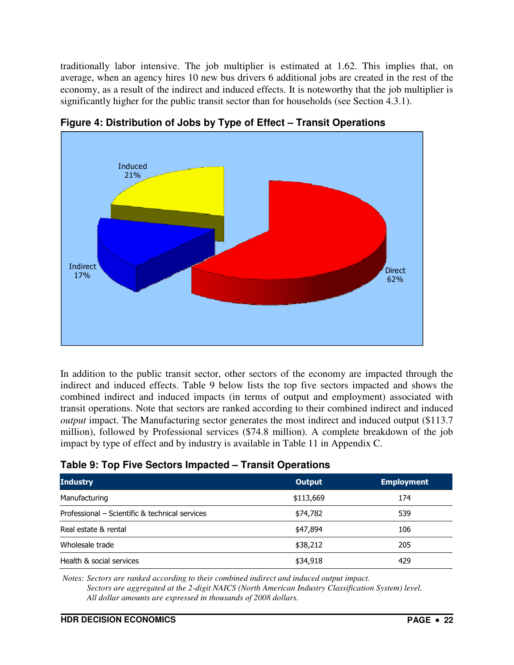traditionally labor intensive. The job multiplier is estimated at 1.62. This implies that, on average, when an agency hires 10 new bus drivers 6 additional jobs are created in the rest of the economy, as a result of the indirect and induced effects. It is noteworthy that the job multiplier is significantly higher for the public transit sector than for households (see Section 4.3.1).



**Figure 4: Distribution of Jobs by Type of Effect – Transit Operations** 

In addition to the public transit sector, other sectors of the economy are impacted through the indirect and induced effects. Table 9 below lists the top five sectors impacted and shows the combined indirect and induced impacts (in terms of output and employment) associated with transit operations. Note that sectors are ranked according to their combined indirect and induced *output* impact. The Manufacturing sector generates the most indirect and induced output (\$113.7) million), followed by Professional services (\$74.8 million). A complete breakdown of the job impact by type of effect and by industry is available in Table 11 in Appendix C.

#### **Table 9: Top Five Sectors Impacted – Transit Operations**

| <b>Industry</b>                                | Output    | <b>Employment</b> |
|------------------------------------------------|-----------|-------------------|
| Manufacturing                                  | \$113,669 | 174               |
| Professional – Scientific & technical services | \$74,782  | 539               |
| Real estate & rental                           | \$47,894  | 106               |
| Wholesale trade                                | \$38,212  | 205               |
| Health & social services                       | \$34,918  | 429               |

 *Notes: Sectors are ranked according to their combined indirect and induced output impact. Sectors are aggregated at the 2-digit NAICS (North American Industry Classification System) level. All dollar amounts are expressed in thousands of 2008 dollars.*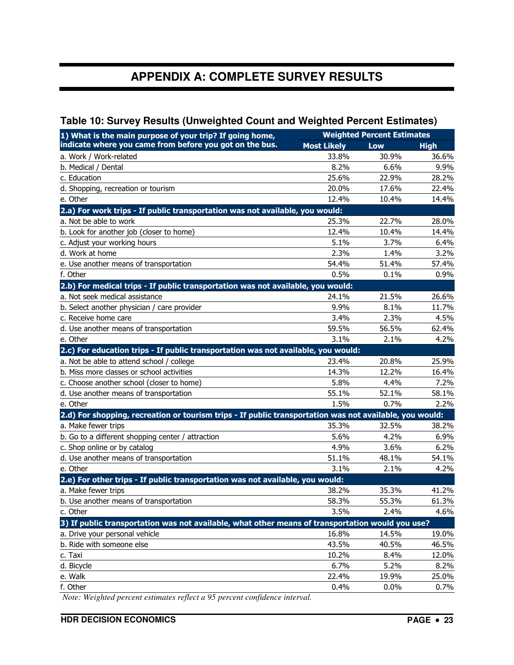### **APPENDIX A: COMPLETE SURVEY RESULTS**

#### **Table 10: Survey Results (Unweighted Count and Weighted Percent Estimates)**

| 1) What is the main purpose of your trip? If going home,                                                | <b>Weighted Percent Estimates</b> |            |             |
|---------------------------------------------------------------------------------------------------------|-----------------------------------|------------|-------------|
| indicate where you came from before you got on the bus.                                                 | <b>Most Likely</b>                | <b>Low</b> | <b>High</b> |
| a. Work / Work-related                                                                                  | 33.8%                             | 30.9%      | 36.6%       |
| b. Medical / Dental                                                                                     | 8.2%                              | 6.6%       | 9.9%        |
| c. Education                                                                                            | 25.6%                             | 22.9%      | 28.2%       |
| d. Shopping, recreation or tourism                                                                      | 20.0%                             | 17.6%      | 22.4%       |
| e. Other                                                                                                | 12.4%                             | 10.4%      | 14.4%       |
| 2.a) For work trips - If public transportation was not available, you would:                            |                                   |            |             |
| a. Not be able to work                                                                                  | 25.3%                             | 22.7%      | 28.0%       |
| b. Look for another job (closer to home)                                                                | 12.4%                             | 10.4%      | 14.4%       |
| c. Adjust your working hours                                                                            | 5.1%                              | 3.7%       | 6.4%        |
| d. Work at home                                                                                         | 2.3%                              | 1.4%       | 3.2%        |
| e. Use another means of transportation                                                                  | 54.4%                             | 51.4%      | 57.4%       |
| f. Other                                                                                                | 0.5%                              | 0.1%       | 0.9%        |
| 2.b) For medical trips - If public transportation was not available, you would:                         |                                   |            |             |
| a. Not seek medical assistance                                                                          | 24.1%                             | 21.5%      | 26.6%       |
| b. Select another physician / care provider                                                             | 9.9%                              | 8.1%       | 11.7%       |
| c. Receive home care                                                                                    | 3.4%                              | 2.3%       | 4.5%        |
| d. Use another means of transportation                                                                  | 59.5%                             | 56.5%      | 62.4%       |
| e. Other                                                                                                | 3.1%                              | 2.1%       | 4.2%        |
| 2.c) For education trips - If public transportation was not available, you would:                       |                                   |            |             |
| a. Not be able to attend school / college                                                               | 23.4%                             | 20.8%      | 25.9%       |
| b. Miss more classes or school activities                                                               | 14.3%                             | 12.2%      | 16.4%       |
| c. Choose another school (closer to home)                                                               | 5.8%                              | 4.4%       | 7.2%        |
| d. Use another means of transportation                                                                  | 55.1%                             | 52.1%      | 58.1%       |
| e. Other                                                                                                | 1.5%                              | 0.7%       | 2.2%        |
| 2.d) For shopping, recreation or tourism trips - If public transportation was not available, you would: |                                   |            |             |
| a. Make fewer trips                                                                                     | 35.3%                             | 32.5%      | 38.2%       |
| b. Go to a different shopping center / attraction                                                       | 5.6%                              | 4.2%       | 6.9%        |
| c. Shop online or by catalog                                                                            | 4.9%                              | 3.6%       | 6.2%        |
| d. Use another means of transportation                                                                  | 51.1%                             | 48.1%      | 54.1%       |
| e. Other                                                                                                | 3.1%                              | 2.1%       | 4.2%        |
| 2.e) For other trips - If public transportation was not available, you would:                           |                                   |            |             |
| a. Make fewer trips                                                                                     | 38.2%                             | 35.3%      | 41.2%       |
| b. Use another means of transportation                                                                  | 58.3%                             | 55.3%      | 61.3%       |
| c. Other                                                                                                | 3.5%                              | 2.4%       | 4.6%        |
| 3) If public transportation was not available, what other means of transportation would you use?        |                                   |            |             |
| a. Drive your personal vehicle                                                                          | 16.8%                             | 14.5%      | 19.0%       |
| b. Ride with someone else                                                                               | 43.5%                             | 40.5%      | 46.5%       |
| c. Taxi                                                                                                 | 10.2%                             | 8.4%       | 12.0%       |
| d. Bicycle                                                                                              | 6.7%                              | 5.2%       | 8.2%        |
| e. Walk                                                                                                 | 22.4%                             | 19.9%      | 25.0%       |
| f. Other                                                                                                | 0.4%                              | 0.0%       | 0.7%        |

 *Note: Weighted percent estimates reflect a 95 percent confidence interval.*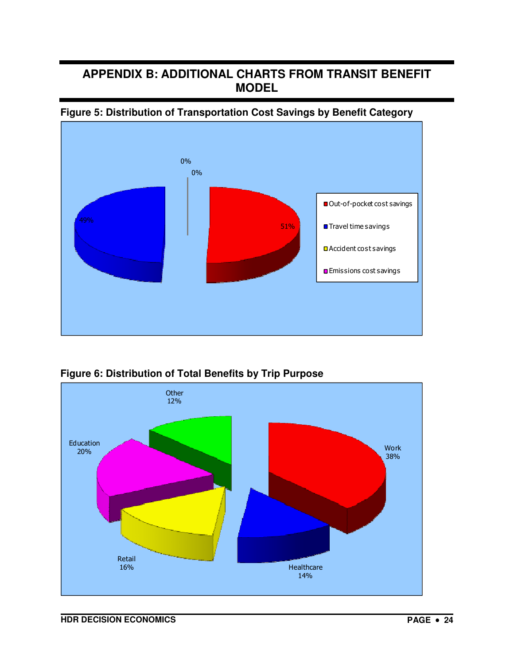### **APPENDIX B: ADDITIONAL CHARTS FROM TRANSIT BENEFIT MODEL**







**Figure 6: Distribution of Total Benefits by Trip Purpose**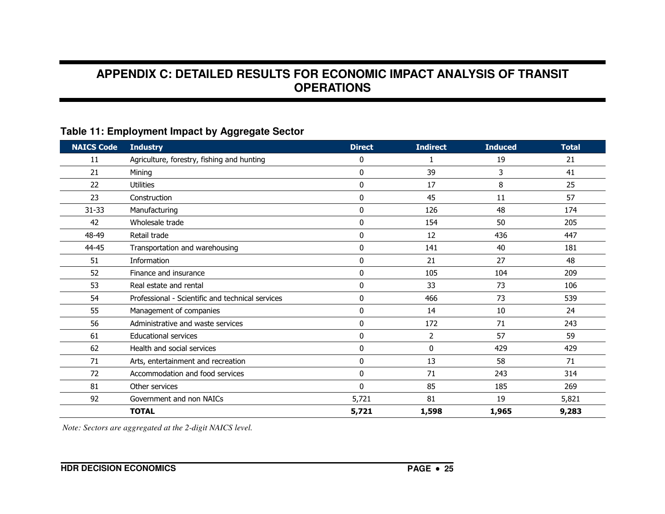### **APPENDIX C: DETAILED RESULTS FOR ECONOMIC IMPACT ANALYSIS OF TRANSIT OPERATIONS**

### **Table 11: Employment Impact by Aggregate Sector**

| <b>NAICS Code</b> | <b>Industry</b>                                  | <b>Direct</b> | <b>Indirect</b> | <b>Induced</b> | <b>Total</b> |
|-------------------|--------------------------------------------------|---------------|-----------------|----------------|--------------|
| 11                | Agriculture, forestry, fishing and hunting       | 0             |                 | 19             | 21           |
| 21                | Mining                                           | 0             | 39              | 3              | 41           |
| 22                | <b>Utilities</b>                                 | $\mathbf{0}$  | 17              | 8              | 25           |
| 23                | Construction                                     | 0             | 45              | 11             | 57           |
| 31-33             | Manufacturing                                    | $\mathbf{0}$  | 126             | 48             | 174          |
| 42                | Wholesale trade                                  | $\Omega$      | 154             | 50             | 205          |
| 48-49             | Retail trade                                     | 0             | 12              | 436            | 447          |
| 44-45             | Transportation and warehousing                   | $\mathbf{0}$  | 141             | 40             | 181          |
| 51                | Information                                      | $\Omega$      | 21              | 27             | 48           |
| 52                | Finance and insurance                            | $\mathbf{0}$  | 105             | 104            | 209          |
| 53                | Real estate and rental                           | $\mathbf{0}$  | 33              | 73             | 106          |
| 54                | Professional - Scientific and technical services | $\Omega$      | 466             | 73             | 539          |
| 55                | Management of companies                          | $\mathbf{0}$  | 14              | 10             | 24           |
| 56                | Administrative and waste services                | $\mathbf{0}$  | 172             | 71             | 243          |
| 61                | <b>Educational services</b>                      | $\Omega$      | $\overline{2}$  | 57             | 59           |
| 62                | Health and social services                       | $\mathbf{0}$  | 0               | 429            | 429          |
| 71                | Arts, entertainment and recreation               | $\mathbf{0}$  | 13              | 58             | 71           |
| 72                | Accommodation and food services                  | $\mathbf{0}$  | 71              | 243            | 314          |
| 81                | Other services                                   | $\Omega$      | 85              | 185            | 269          |
| 92                | Government and non NAICs                         | 5,721         | 81              | 19             | 5,821        |
|                   | <b>TOTAL</b>                                     | 5,721         | 1,598           | 1,965          | 9,283        |

 *Note: Sectors are aggregated at the 2-digit NAICS level.*